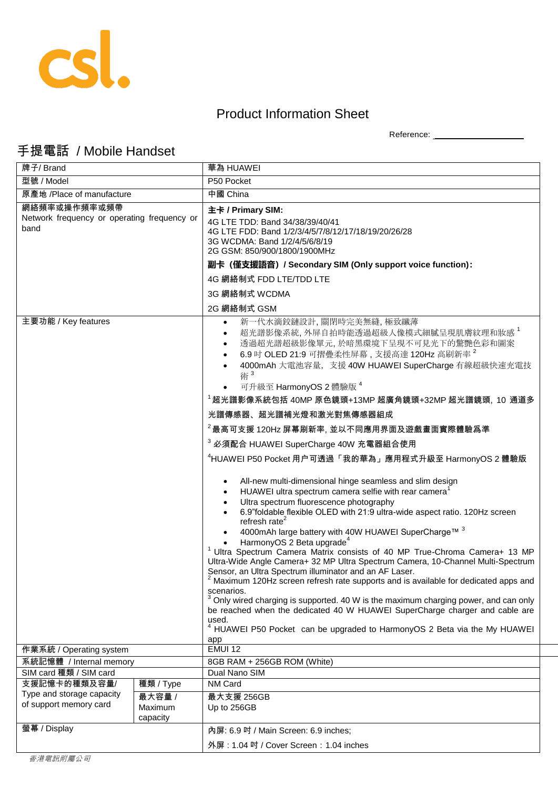

## Product Information Sheet

Reference: \_\_\_\_\_\_\_\_\_\_\_\_\_\_\_\_\_\_\_\_

## 手提電話 / Mobile Handset

| 牌子/ Brand                                           |                               | 華為 HUAWEI                                                                                                                                                                                                                                                                                                                                                                                                                                                                                                                                                                                                                                                                                                                                                                                                                                                                                                                                                                                                                |
|-----------------------------------------------------|-------------------------------|--------------------------------------------------------------------------------------------------------------------------------------------------------------------------------------------------------------------------------------------------------------------------------------------------------------------------------------------------------------------------------------------------------------------------------------------------------------------------------------------------------------------------------------------------------------------------------------------------------------------------------------------------------------------------------------------------------------------------------------------------------------------------------------------------------------------------------------------------------------------------------------------------------------------------------------------------------------------------------------------------------------------------|
| 型號 / Model                                          |                               | P50 Pocket                                                                                                                                                                                                                                                                                                                                                                                                                                                                                                                                                                                                                                                                                                                                                                                                                                                                                                                                                                                                               |
| 原產地 /Place of manufacture                           |                               | 中國 China                                                                                                                                                                                                                                                                                                                                                                                                                                                                                                                                                                                                                                                                                                                                                                                                                                                                                                                                                                                                                 |
| 網絡頻率或操作頻率或頻帶                                        |                               | 主卡 / Primary SIM:                                                                                                                                                                                                                                                                                                                                                                                                                                                                                                                                                                                                                                                                                                                                                                                                                                                                                                                                                                                                        |
| Network frequency or operating frequency or<br>band |                               | 4G LTE TDD: Band 34/38/39/40/41<br>4G LTE FDD: Band 1/2/3/4/5/7/8/12/17/18/19/20/26/28<br>3G WCDMA: Band 1/2/4/5/6/8/19<br>2G GSM: 850/900/1800/1900MHz                                                                                                                                                                                                                                                                                                                                                                                                                                                                                                                                                                                                                                                                                                                                                                                                                                                                  |
|                                                     |                               | 副卡 (僅支援語音) / Secondary SIM (Only support voice function):                                                                                                                                                                                                                                                                                                                                                                                                                                                                                                                                                                                                                                                                                                                                                                                                                                                                                                                                                                |
|                                                     |                               | 4G 網絡制式 FDD LTE/TDD LTE                                                                                                                                                                                                                                                                                                                                                                                                                                                                                                                                                                                                                                                                                                                                                                                                                                                                                                                                                                                                  |
|                                                     |                               | 3G 網絡制式 WCDMA                                                                                                                                                                                                                                                                                                                                                                                                                                                                                                                                                                                                                                                                                                                                                                                                                                                                                                                                                                                                            |
|                                                     |                               | 2G 網絡制式 GSM                                                                                                                                                                                                                                                                                                                                                                                                                                                                                                                                                                                                                                                                                                                                                                                                                                                                                                                                                                                                              |
| 主要功能 / Key features                                 |                               | 新一代水滴鉸鏈設計,關閉時完美無縫,極致纖薄<br>超光譜影像系統,外屏自拍時能透過超級人像模式細膩呈現肌膚紋理和妝感 <sup>1</sup><br>$\bullet$<br>透過超光譜超級影像單元,於暗黑環境下呈現不可見光下的驚艷色彩和圖案<br>6.9 吋 OLED 21:9 可摺疊柔性屏幕, 支援高達 120Hz 高刷新率 <sup>2</sup><br>4000mAh 大電池容量, 支援 40W HUAWEI SuperCharge 有線超級快速充電技<br>術 <sup>3</sup><br>可升級至 HarmonyOS 2 體驗版 <sup>4</sup>                                                                                                                                                                                                                                                                                                                                                                                                                                                                                                                                                                                                                                                                                                                         |
|                                                     |                               | $^1$ 超光譜影像系統包括 40MP 原色鏡頭+13MP 超廣角鏡頭+32MP 超光譜鏡頭, 10 通道多                                                                                                                                                                                                                                                                                                                                                                                                                                                                                                                                                                                                                                                                                                                                                                                                                                                                                                                                                                   |
|                                                     |                               | 光譜傳感器、超光譜補光燈和激光對焦傳感器組成                                                                                                                                                                                                                                                                                                                                                                                                                                                                                                                                                                                                                                                                                                                                                                                                                                                                                                                                                                                                   |
|                                                     |                               | $^2$ 最高可支援 120Hz 屏幕刷新率, 並以不同應用界面及遊戲畫面實際體驗爲準                                                                                                                                                                                                                                                                                                                                                                                                                                                                                                                                                                                                                                                                                                                                                                                                                                                                                                                                                                              |
|                                                     |                               | <sup>3</sup> 必須配合 HUAWEI SuperCharge 40W 充電器組合使用                                                                                                                                                                                                                                                                                                                                                                                                                                                                                                                                                                                                                                                                                                                                                                                                                                                                                                                                                                         |
|                                                     |                               | <sup>4</sup> HUAWEI P50 Pocket 用户可透過「我的華為」應用程式升級至 HarmonyOS 2 體驗版                                                                                                                                                                                                                                                                                                                                                                                                                                                                                                                                                                                                                                                                                                                                                                                                                                                                                                                                                        |
|                                                     |                               | All-new multi-dimensional hinge seamless and slim design<br>HUAWEI ultra spectrum camera selfie with rear camera <sup>1</sup><br>Ultra spectrum fluorescence photography<br>6.9"foldable flexible OLED with 21:9 ultra-wide aspect ratio. 120Hz screen<br>refresh rate $2$<br>4000mAh large battery with 40W HUAWEI SuperCharge™ 3<br>HarmonyOS 2 Beta upgrade <sup>4</sup><br>Ultra Spectrum Camera Matrix consists of 40 MP True-Chroma Camera+ 13 MP<br>Ultra-Wide Angle Camera+ 32 MP Ultra Spectrum Camera, 10-Channel Multi-Spectrum<br>Sensor, an Ultra Spectrum illuminator and an AF Laser.<br><sup>2</sup> Maximum 120Hz screen refresh rate supports and is available for dedicated apps and<br>scenarios.<br>$3$ Only wired charging is supported. 40 W is the maximum charging power, and can only<br>be reached when the dedicated 40 W HUAWEI SuperCharge charger and cable are<br>used.<br><sup>4</sup> HUAWEI P50 Pocket can be upgraded to HarmonyOS 2 Beta via the My HUAWEI<br>app<br><b>EMUI 12</b> |
| 作業系統 / Operating system                             |                               |                                                                                                                                                                                                                                                                                                                                                                                                                                                                                                                                                                                                                                                                                                                                                                                                                                                                                                                                                                                                                          |
| 系統記憶體 / Internal memory<br>SIM card 種類 / SIM card   |                               | 8GB RAM + 256GB ROM (White)<br>Dual Nano SIM                                                                                                                                                                                                                                                                                                                                                                                                                                                                                                                                                                                                                                                                                                                                                                                                                                                                                                                                                                             |
| 支援記憶卡的種類及容量/                                        | 種類 / Type                     | NM Card                                                                                                                                                                                                                                                                                                                                                                                                                                                                                                                                                                                                                                                                                                                                                                                                                                                                                                                                                                                                                  |
| Type and storage capacity<br>of support memory card | 最大容量 /<br>Maximum<br>capacity | 最大支援 256GB<br>Up to 256GB                                                                                                                                                                                                                                                                                                                                                                                                                                                                                                                                                                                                                                                                                                                                                                                                                                                                                                                                                                                                |
| 螢幕 / Display                                        |                               | 內屏: 6.9 吋 / Main Screen: 6.9 inches;<br>外屏: 1.04 吋 / Cover Screen: 1.04 inches                                                                                                                                                                                                                                                                                                                                                                                                                                                                                                                                                                                                                                                                                                                                                                                                                                                                                                                                           |